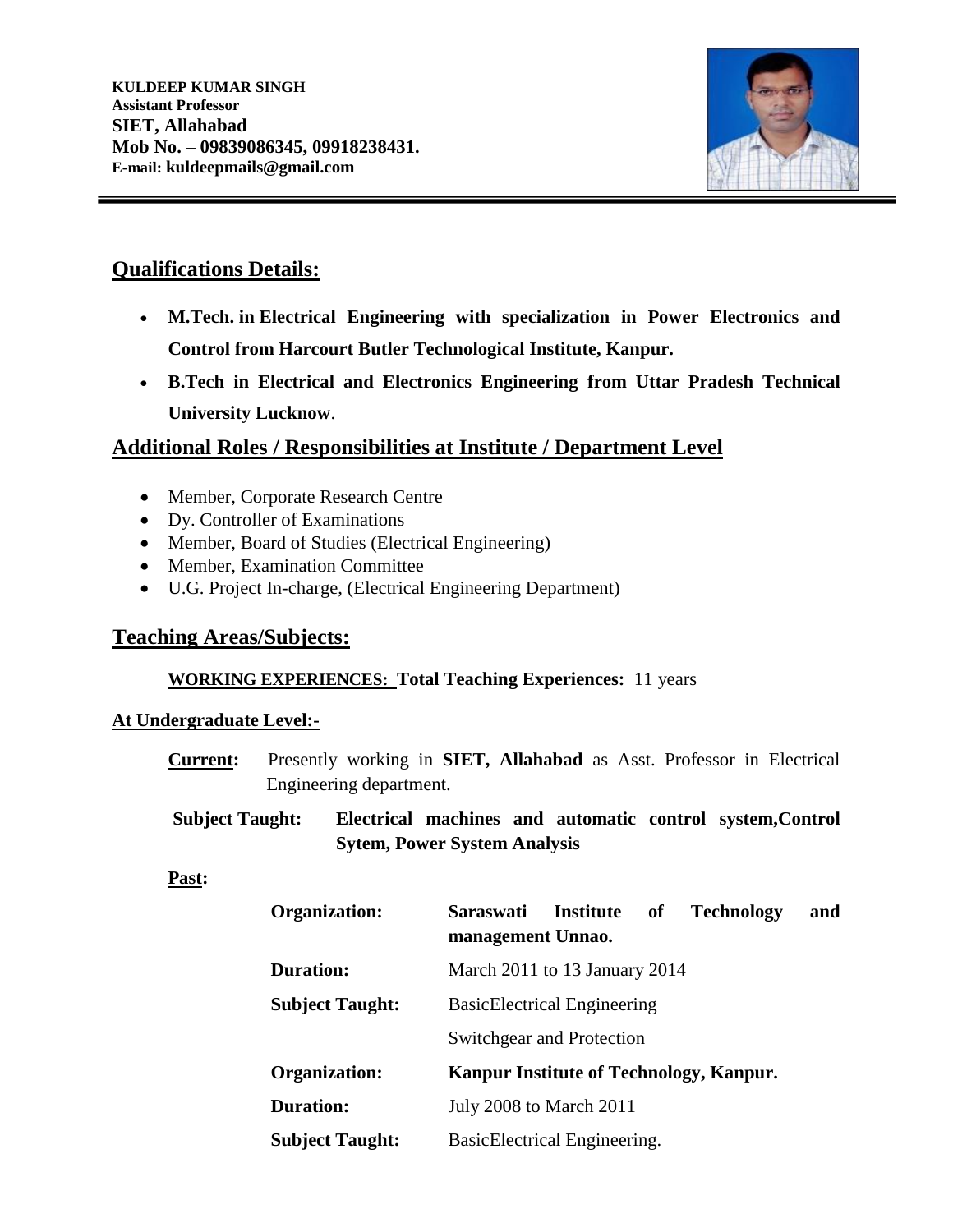

# **Qualifications Details:**

- **M.Tech. in Electrical Engineering with specialization in Power Electronics and Control from Harcourt Butler Technological Institute, Kanpur.**
- **B.Tech in Electrical and Electronics Engineering from Uttar Pradesh Technical University Lucknow**.

# **Additional Roles / Responsibilities at Institute / Department Level**

- Member, Corporate Research Centre
- Dy. Controller of Examinations
- Member, Board of Studies (Electrical Engineering)
- Member, Examination Committee
- U.G. Project In-charge, (Electrical Engineering Department)

## **Teaching Areas/Subjects:**

#### **WORKING EXPERIENCES: Total Teaching Experiences:** 11 years

#### **At Undergraduate Level:-**

- **Current:** Presently working in **SIET, Allahabad** as Asst. Professor in Electrical Engineering department.
- **Subject Taught: Electrical machines and automatic control system,Control Sytem, Power System Analysis**

#### **Past:**

| <b>Organization:</b>   | <b>Institute</b><br><b>Saraswati</b><br><b>Technology</b><br>of<br>management Unnao. | and |  |  |
|------------------------|--------------------------------------------------------------------------------------|-----|--|--|
| Duration:              | March 2011 to 13 January 2014                                                        |     |  |  |
| <b>Subject Taught:</b> | <b>BasicElectrical Engineering</b>                                                   |     |  |  |
|                        | Switchgear and Protection                                                            |     |  |  |
| Organization:          | Kanpur Institute of Technology, Kanpur.                                              |     |  |  |
| Duration:              | July 2008 to March 2011                                                              |     |  |  |
| <b>Subject Taught:</b> | BasicElectrical Engineering.                                                         |     |  |  |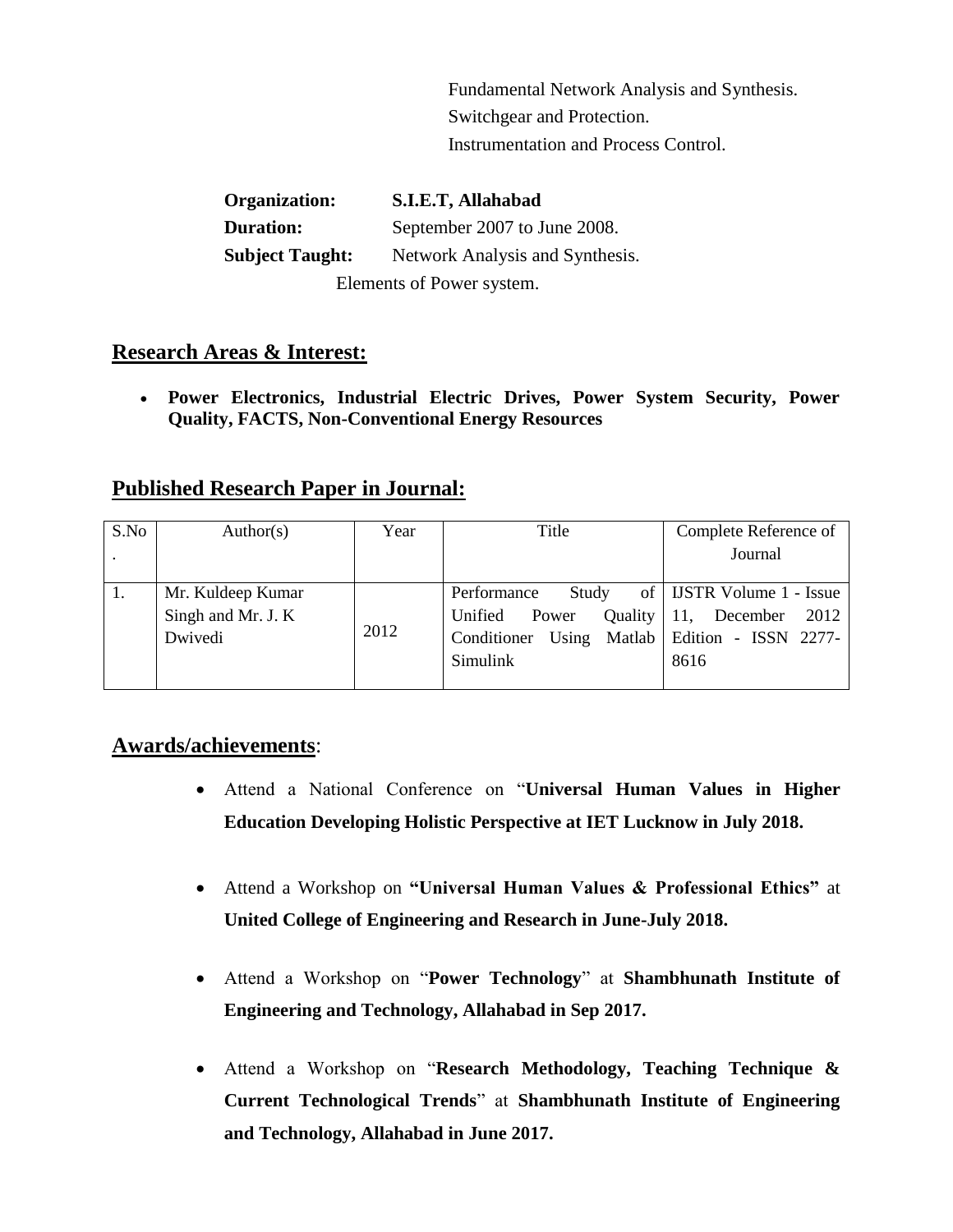Fundamental Network Analysis and Synthesis. Switchgear and Protection. Instrumentation and Process Control.

| Organization:             | S.I.E.T, Allahabad              |  |  |  |
|---------------------------|---------------------------------|--|--|--|
| <b>Duration:</b>          | September 2007 to June 2008.    |  |  |  |
| <b>Subject Taught:</b>    | Network Analysis and Synthesis. |  |  |  |
| Elements of Power system. |                                 |  |  |  |

### **Research Areas & Interest:**

 **Power Electronics, Industrial Electric Drives, Power System Security, Power Quality, FACTS, Non-Conventional Energy Resources**

## **Published Research Paper in Journal:**

| S.No | Author(s)                                          | Year | Title                                                                                                   | Complete Reference of                                                 |
|------|----------------------------------------------------|------|---------------------------------------------------------------------------------------------------------|-----------------------------------------------------------------------|
|      |                                                    |      |                                                                                                         | Journal                                                               |
|      | Mr. Kuldeep Kumar<br>Singh and Mr. J. K<br>Dwivedi | 2012 | Performance<br>Study<br>Unified<br>Power<br>Conditioner Using Matlab   Edition - ISSN 2277-<br>Simulink | of   IJSTR Volume 1 - Issue<br>Quality   11, December<br>2012<br>8616 |

## **Awards/achievements**:

- Attend a National Conference on "**Universal Human Values in Higher Education Developing Holistic Perspective at IET Lucknow in July 2018.**
- Attend a Workshop on **"Universal Human Values & Professional Ethics"** at **United College of Engineering and Research in June-July 2018.**
- Attend a Workshop on "**Power Technology**" at **Shambhunath Institute of Engineering and Technology, Allahabad in Sep 2017.**
- Attend a Workshop on "**Research Methodology, Teaching Technique & Current Technological Trends**" at **Shambhunath Institute of Engineering and Technology, Allahabad in June 2017.**